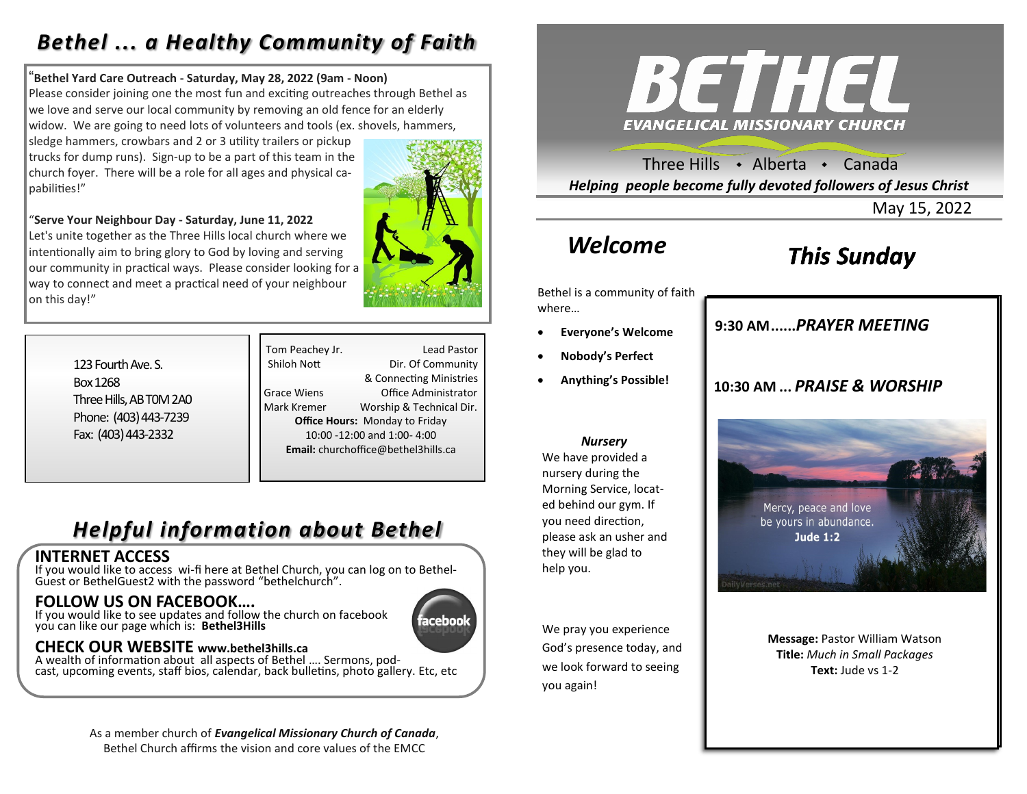### *Bethel ... a Healthy Community of Faith*

#### "**Bethel Yard Care Outreach - Saturday, May 28, 2022 (9am - Noon)**

Please consider joining one the most fun and exciting outreaches through Bethel as we love and serve our local community by removing an old fence for an elderly widow. We are going to need lots of volunteers and tools (ex. shovels, hammers,

sledge hammers, crowbars and 2 or 3 utility trailers or pickup trucks for dump runs). Sign-up to be a part of this team in the church foyer. There will be a role for all ages and physical capabilities!"

"**Serve Your Neighbour Day - Saturday, June 11, 2022** Let's unite together as the Three Hills local church where we intentionally aim to bring glory to God by loving and serving our community in practical ways. Please consider looking for a way to connect and meet a practical need of your neighbour on this day!"



123 Fourth Ave. S. Box 1268 Three Hills, AB T0M 2A0 Phone: (403) 443-7239 Fax: (403) 443-2332

Tom Peachey Jr. Lead Pastor Shiloh Nott Dir. Of Community & Connecting Ministries Grace Wiens Office Administrator Mark Kremer Worship & Technical Dir. **Office Hours:** Monday to Friday 10:00 -12:00 and 1:00- 4:00 **Email:** churchoffice@bethel3hills.ca

### *Helpful information about Bethel*

#### **INTERNET ACCESS**

If you would like to access wi-fi here at Bethel Church, you can log on to Bethel-Guest or BethelGuest2 with the password "bethelchurch".

#### **FOLLOW US ON FACEBOOK….**

If you would like to see updates and follow the church on facebook you can like our page which is: **Bethel3Hills**

# ıceboo

#### **CHECK OUR WEBSITE www.bethel3hills.ca**

A wealth of information about all aspects of Bethel …. Sermons, podcast, upcoming events, staff bios, calendar, back bulletins, photo gallery. Etc, etc

As a member church of *Evangelical Missionary Church of Canada*,



Three Hills  $\rightarrow$  Alberta  $\rightarrow$  Canada *Helping people become fully devoted followers of Jesus Christ*

May 15, 2022

### *Welcome*

### *This Sunday*

Bethel is a community of faith where…

- **Everyone's Welcome**
- **Nobody's Perfect**
- **Anything's Possible!**

**10:30 AM ...** *PRAISE & WORSHIP* 

**9:30 AM......***SUNDAY SCHOOL* **9:30 AM......***PRAYER MEETING* 



**Message:** Pastor William Watson **Title:** *Much in Small Packages* **Text:** Jude vs 1-2

 *Nursery*

We have provided a nursery during the Morning Service, located behind our gym. If you need direction, please ask an usher and they will be glad to help you.

We pray you experience God's presence today, and we look forward to seeing you again!

### Bethel Church affirms the vision and core values of the EMCC